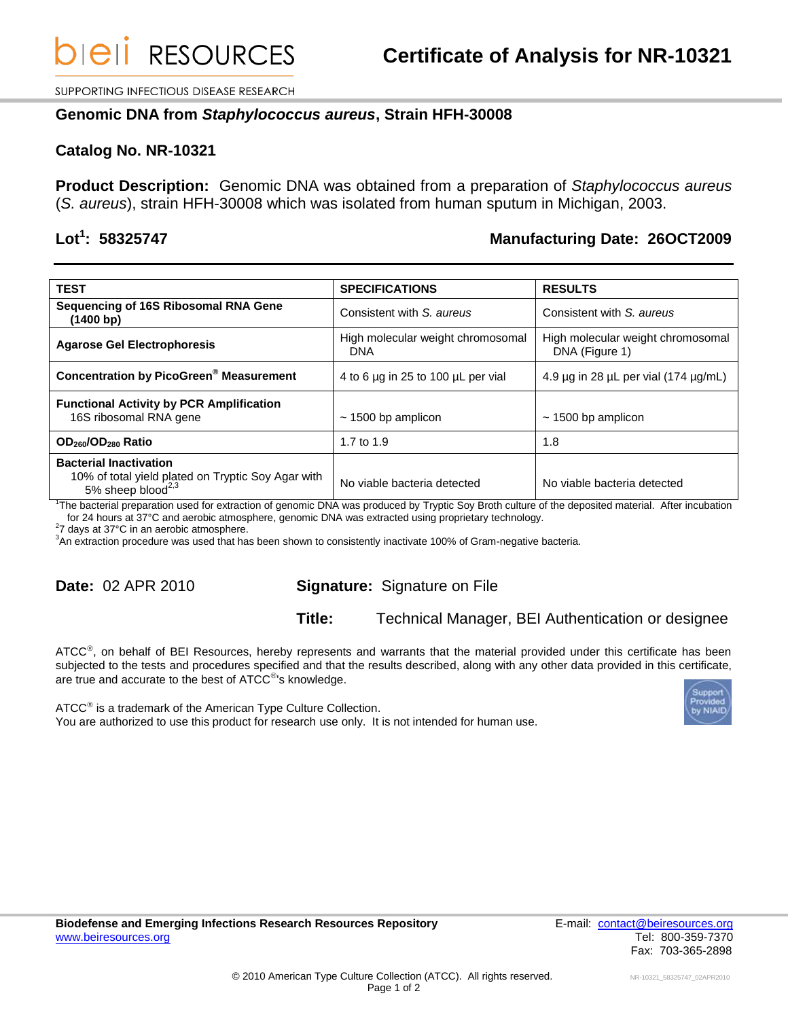SUPPORTING INFECTIOUS DISEASE RESEARCH

### **Genomic DNA from** *Staphylococcus aureus***, Strain HFH-30008**

### **Catalog No. NR-10321**

**Product Description:** Genomic DNA was obtained from a preparation of *Staphylococcus aureus* (*S. aureus*), strain HFH-30008 which was isolated from human sputum in Michigan, 2003.

# Lot<sup>1</sup>: 58325747

# **: 58325747 Manufacturing Date: 26OCT2009**

| <b>TEST</b>                                                                                                                       | <b>SPECIFICATIONS</b>                           | <b>RESULTS</b>                                      |
|-----------------------------------------------------------------------------------------------------------------------------------|-------------------------------------------------|-----------------------------------------------------|
| Sequencing of 16S Ribosomal RNA Gene<br>(1400 bp)                                                                                 | Consistent with S. aureus                       | Consistent with S. aureus                           |
| <b>Agarose Gel Electrophoresis</b>                                                                                                | High molecular weight chromosomal<br><b>DNA</b> | High molecular weight chromosomal<br>DNA (Figure 1) |
| <b>Concentration by PicoGreen<sup>®</sup> Measurement</b>                                                                         | 4 to 6 $\mu$ g in 25 to 100 $\mu$ L per vial    | 4.9 $\mu$ g in 28 $\mu$ L per vial (174 $\mu$ g/mL) |
| <b>Functional Activity by PCR Amplification</b><br>16S ribosomal RNA gene                                                         | $\sim$ 1500 bp amplicon                         | $\sim$ 1500 bp amplicon                             |
| OD <sub>260</sub> /OD <sub>280</sub> Ratio                                                                                        | 1.7 to 1.9                                      | 1.8                                                 |
| <b>Bacterial Inactivation</b><br>10% of total yield plated on Tryptic Soy Agar with<br>5% sheep blood <sup><math>2,3</math></sup> | No viable bacteria detected                     | No viable bacteria detected                         |

1 The bacterial preparation used for extraction of genomic DNA was produced by Tryptic Soy Broth culture of the deposited material. After incubation for 24 hours at 37°C and aerobic atmosphere, genomic DNA was extracted using proprietary technology.

 $27$  days at 37°C in an aerobic atmosphere.

<sup>3</sup>An extraction procedure was used that has been shown to consistently inactivate 100% of Gram-negative bacteria.

# **Date:** 02 APR 2010 **Signature:** Signature on File

#### **Title:** Technical Manager, BEI Authentication or designee

ATCC<sup>®</sup>, on behalf of BEI Resources, hereby represents and warrants that the material provided under this certificate has been subjected to the tests and procedures specified and that the results described, along with any other data provided in this certificate, are true and accurate to the best of  $ATCC^{\circledast}$ 's knowledge.

 $\tt ATCC^@$  is a trademark of the American Type Culture Collection. You are authorized to use this product for research use only. It is not intended for human use.